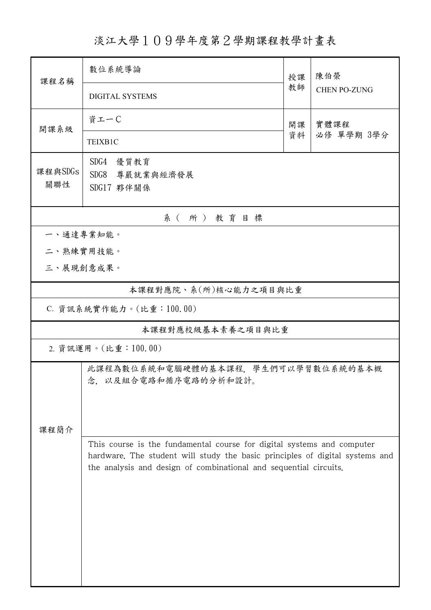淡江大學109學年度第2學期課程教學計畫表

| 課程名稱                    | 數位系統導論                                                                                                                                                                                                                      | 授課       | 陳伯榮<br><b>CHEN PO-ZUNG</b> |  |  |  |
|-------------------------|-----------------------------------------------------------------------------------------------------------------------------------------------------------------------------------------------------------------------------|----------|----------------------------|--|--|--|
|                         | <b>DIGITAL SYSTEMS</b>                                                                                                                                                                                                      | 教師       |                            |  |  |  |
| 開課系級                    | 資工一C                                                                                                                                                                                                                        | 開課<br>資料 | 實體課程<br>必修 單學期 3學分         |  |  |  |
|                         | TEIXB1C                                                                                                                                                                                                                     |          |                            |  |  |  |
| 課程與SDGs                 | SDG4<br>優質教育                                                                                                                                                                                                                |          |                            |  |  |  |
| 關聯性                     | SDG8<br>尊嚴就業與經濟發展<br>SDG17 夥伴關係                                                                                                                                                                                             |          |                            |  |  |  |
| 系(所)教育目標                |                                                                                                                                                                                                                             |          |                            |  |  |  |
|                         | 一、通達專業知能。                                                                                                                                                                                                                   |          |                            |  |  |  |
|                         | 二、熟練實用技能。                                                                                                                                                                                                                   |          |                            |  |  |  |
|                         | 三、展現創意成果。                                                                                                                                                                                                                   |          |                            |  |  |  |
| 本課程對應院、系(所)核心能力之項目與比重   |                                                                                                                                                                                                                             |          |                            |  |  |  |
| C. 資訊系統實作能力。(比重:100.00) |                                                                                                                                                                                                                             |          |                            |  |  |  |
| 本課程對應校級基本素養之項目與比重       |                                                                                                                                                                                                                             |          |                            |  |  |  |
| 2. 資訊運用。(比重:100.00)     |                                                                                                                                                                                                                             |          |                            |  |  |  |
|                         | 此課程為數位系統和電腦硬體的基本課程、學生們可以學習數位系統的基本概<br>念, 以及組合電路和循序電路的分析和設計。                                                                                                                                                                 |          |                            |  |  |  |
| 課程簡介                    |                                                                                                                                                                                                                             |          |                            |  |  |  |
|                         | This course is the fundamental course for digital systems and computer<br>hardware. The student will study the basic principles of digital systems and<br>the analysis and design of combinational and sequential circuits. |          |                            |  |  |  |
|                         |                                                                                                                                                                                                                             |          |                            |  |  |  |
|                         |                                                                                                                                                                                                                             |          |                            |  |  |  |
|                         |                                                                                                                                                                                                                             |          |                            |  |  |  |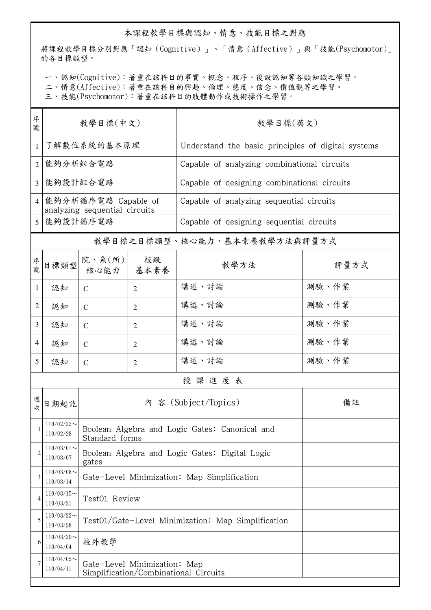## 本課程教學目標與認知、情意、技能目標之對應

將課程教學目標分別對應「認知(Cognitive)」、「情意(Affective)」與「技能(Psychomotor)」 的各目標類型。

一、認知(Cognitive):著重在該科目的事實、概念、程序、後設認知等各類知識之學習。

二、情意(Affective):著重在該科目的興趣、倫理、態度、信念、價值觀等之學習。

三、技能(Psychomotor):著重在該科目的肢體動作或技術操作之學習。

| 序<br>號         | 教學目標(中文)                                             |                                                                       |                | 教學目標(英文)                                           |       |  |  |  |
|----------------|------------------------------------------------------|-----------------------------------------------------------------------|----------------|----------------------------------------------------|-------|--|--|--|
| 1              | 了解數位系統的基本原理                                          |                                                                       |                | Understand the basic principles of digital systems |       |  |  |  |
| 2              | 能夠分析組合電路                                             |                                                                       |                | Capable of analyzing combinational circuits        |       |  |  |  |
| 3              | 能夠設計組合電路                                             |                                                                       |                | Capable of designing combinational circuits        |       |  |  |  |
| $\overline{4}$ | 能夠分析循序電路 Capable of<br>analyzing sequential circuits |                                                                       |                | Capable of analyzing sequential circuits           |       |  |  |  |
| 5              | 能夠設計循序電路                                             |                                                                       |                | Capable of designing sequential circuits           |       |  |  |  |
|                |                                                      |                                                                       |                | 教學目標之目標類型、核心能力、基本素養教學方法與評量方式                       |       |  |  |  |
| 序號             | 目標類型                                                 | 院、系 $(\kappa)$<br>核心能力   基本素養                                         | 校級             | 教學方法                                               | 評量方式  |  |  |  |
| $\mathbf{1}$   | 認知                                                   | $\mathcal{C}$                                                         | $\overline{2}$ | 講述、討論                                              | 測驗、作業 |  |  |  |
| $\overline{2}$ | 認知                                                   | $\mathcal{C}$                                                         | $\overline{2}$ | 講述、討論                                              | 測驗、作業 |  |  |  |
| $\overline{3}$ | 認知                                                   | $\mathcal{C}$                                                         | $\overline{2}$ | 講述、討論                                              | 測驗、作業 |  |  |  |
| $\overline{4}$ | 認知                                                   | $\mathcal{C}$                                                         | $\overline{2}$ | 講述、討論                                              | 測驗、作業 |  |  |  |
| 5              | 認知                                                   | $\mathcal{C}$                                                         | $\overline{2}$ | 講述、討論                                              | 測驗、作業 |  |  |  |
|                | 授課進度表                                                |                                                                       |                |                                                    |       |  |  |  |
| 週次             | 日期起訖                                                 |                                                                       |                | 內 容 (Subject/Topics)                               | 備註    |  |  |  |
| $\mathbf{1}$   | $110/02/22$ ~<br>110/02/28                           | Boolean Algebra and Logic Gates: Canonical and<br>Standard forms      |                |                                                    |       |  |  |  |
| 2              | $110/03/01$ ~<br>110/03/07                           | Boolean Algebra and Logic Gates: Digital Logic<br>gates               |                |                                                    |       |  |  |  |
| 3              | $110/03/08$ ~<br>110/03/14                           | Gate-Level Minimization: Map Simplification                           |                |                                                    |       |  |  |  |
| 4              | $110/03/15$ ~<br>110/03/21                           | Test01 Review                                                         |                |                                                    |       |  |  |  |
| 5              | $110/03/22$ ~<br>110/03/28                           | Test01/Gate-Level Minimization: Map Simplification                    |                |                                                    |       |  |  |  |
| 6              | $110/03/29$ ~<br>110/04/04                           | 校外教學                                                                  |                |                                                    |       |  |  |  |
| 7              | $110/04/05$ ~<br>110/04/11                           | Gate-Level Minimization: Map<br>Simplification/Combinational Circuits |                |                                                    |       |  |  |  |